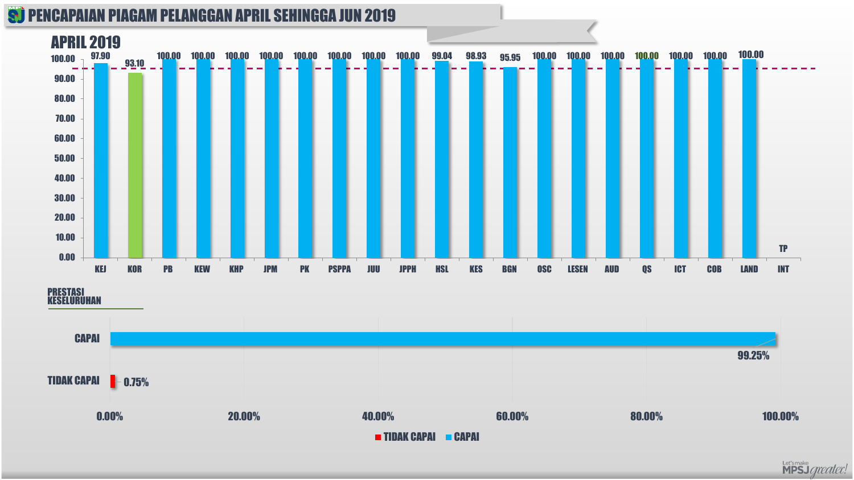#### **S) PENCAPAIAN PIAGAM PELANGGAN APRIL SEHINGGA JUN 2019**



PRESTASI KESELURUHAN



Let'smake<br>**MPSJ** *greater!*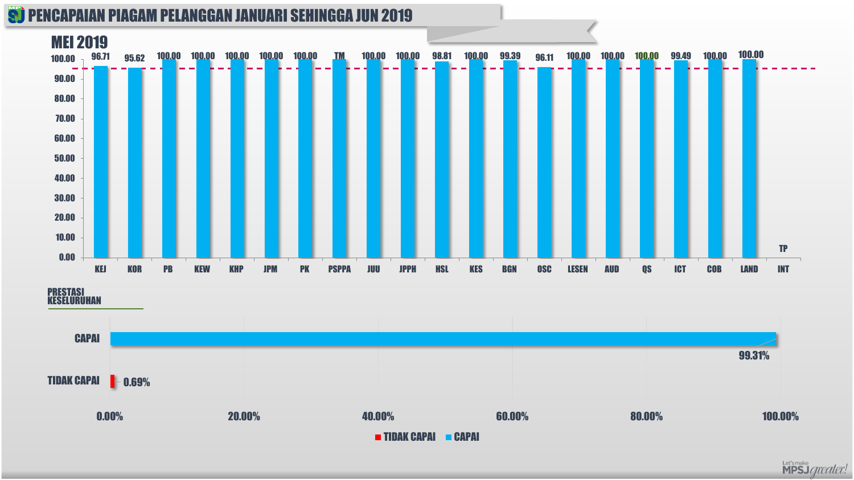#### **S) PENCAPAIAN PIAGAM PELANGGAN JANUARI SEHINGGA JUN 2019**



PRESTASI KESELURUHAN



Let'smake<br>MPSJ *greater!*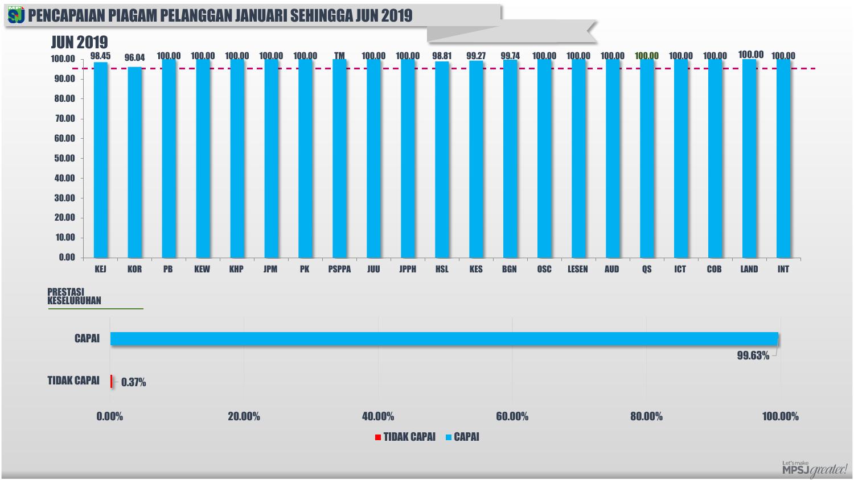#### **S) PENCAPAIAN PIAGAM PELANGGAN JANUARI SEHINGGA JUN 2019**



PRESTASI KESELURUHAN



Let'smake<br>MPSJ *greater!*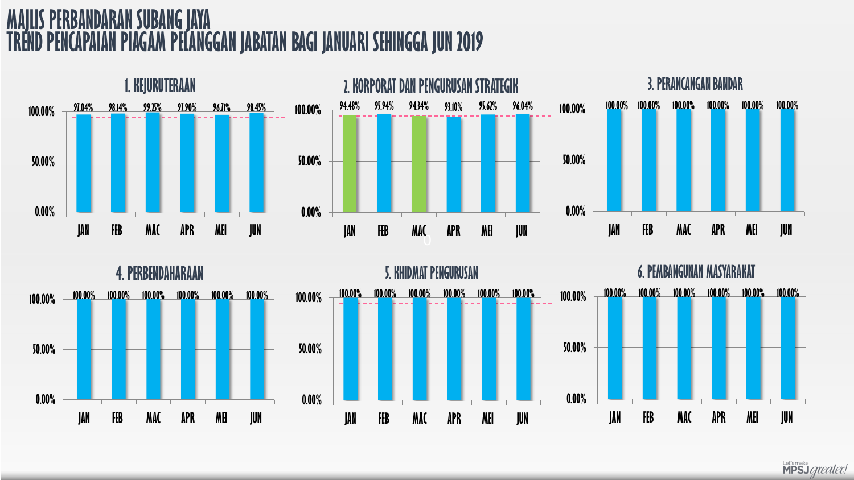# **SUBANG JAYA PIAGAM PELANGGAN JABATAN BAGI JANUARI SEHINGGA JUN 2019**





Let's make<br>**MPSJ** *greater!*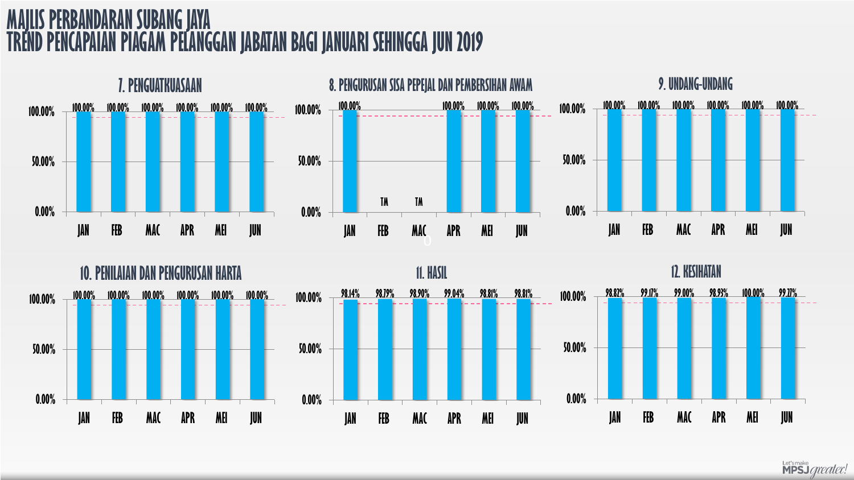## **SUBANG JAYA TPIAGAM PELANGGAN JABATAN BAGI JANUARI SEHINGGA JUN 2019**





Let's make<br>**MPSJ** *greater!*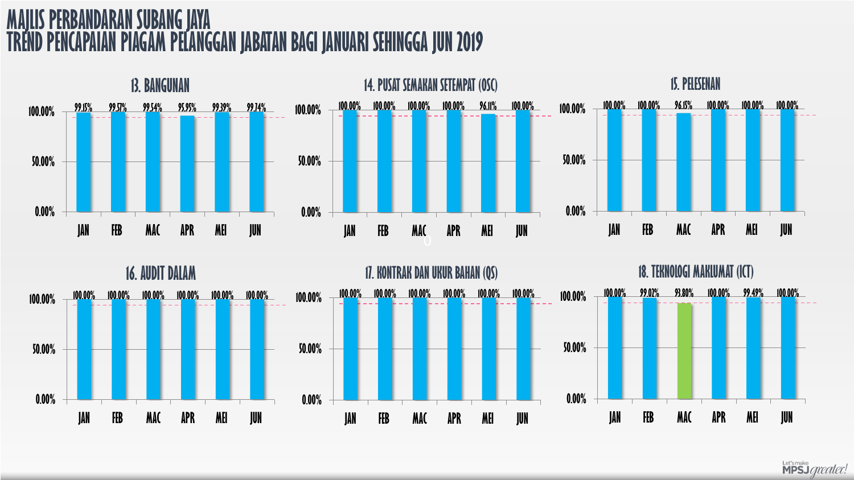# **SUBANG JAYA TPIAGAM PELANGGAN JABATAN BAGI JANUARI SEHINGGA JUN 2019**





Let's make<br>**MPSJ** *greater!*